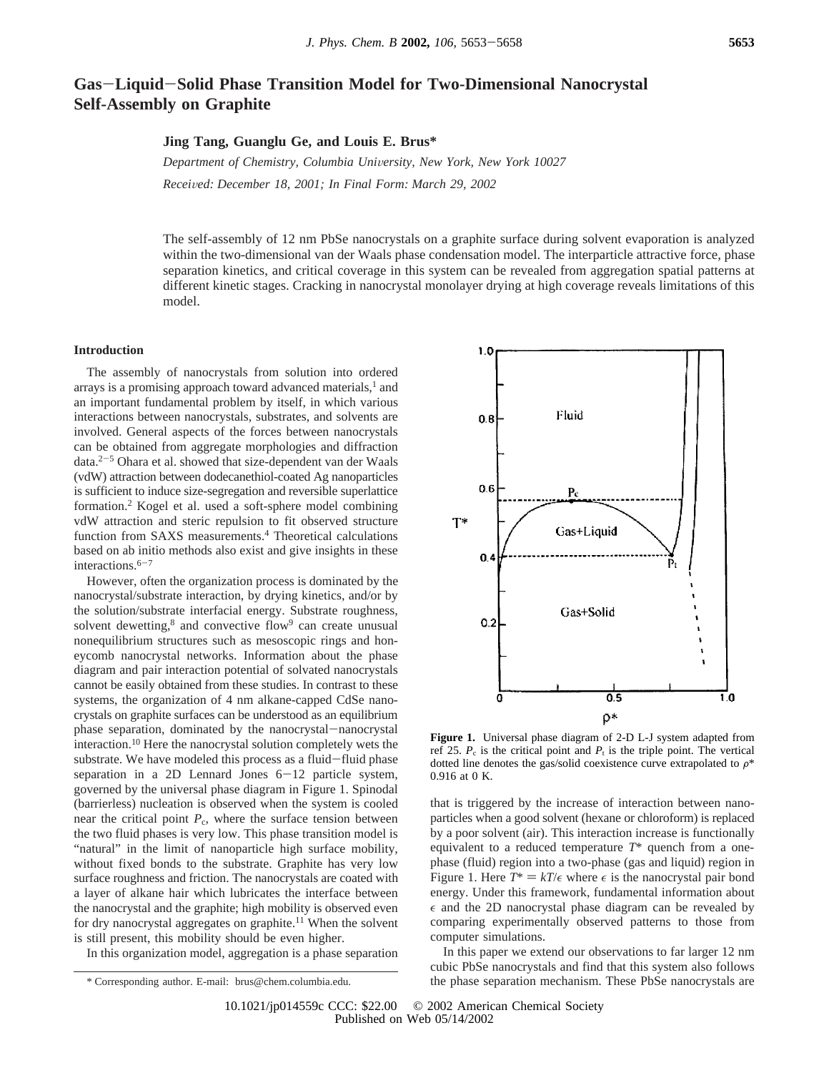# **Gas**-**Liquid**-**Solid Phase Transition Model for Two-Dimensional Nanocrystal Self-Assembly on Graphite**

**Jing Tang, Guanglu Ge, and Louis E. Brus\***

*Department of Chemistry, Columbia University, New York, New York 10027 Recei*V*ed: December 18, 2001; In Final Form: March 29, 2002*

The self-assembly of 12 nm PbSe nanocrystals on a graphite surface during solvent evaporation is analyzed within the two-dimensional van der Waals phase condensation model. The interparticle attractive force, phase separation kinetics, and critical coverage in this system can be revealed from aggregation spatial patterns at different kinetic stages. Cracking in nanocrystal monolayer drying at high coverage reveals limitations of this model.

# **Introduction**

The assembly of nanocrystals from solution into ordered arrays is a promising approach toward advanced materials,<sup>1</sup> and an important fundamental problem by itself, in which various interactions between nanocrystals, substrates, and solvents are involved. General aspects of the forces between nanocrystals can be obtained from aggregate morphologies and diffraction data.2-<sup>5</sup> Ohara et al. showed that size-dependent van der Waals (vdW) attraction between dodecanethiol-coated Ag nanoparticles is sufficient to induce size-segregation and reversible superlattice formation.2 Kogel et al. used a soft-sphere model combining vdW attraction and steric repulsion to fit observed structure function from SAXS measurements.4 Theoretical calculations based on ab initio methods also exist and give insights in these interactions. $6-7$ 

However, often the organization process is dominated by the nanocrystal/substrate interaction, by drying kinetics, and/or by the solution/substrate interfacial energy. Substrate roughness, solvent dewetting,<sup>8</sup> and convective flow<sup>9</sup> can create unusual nonequilibrium structures such as mesoscopic rings and honeycomb nanocrystal networks. Information about the phase diagram and pair interaction potential of solvated nanocrystals cannot be easily obtained from these studies. In contrast to these systems, the organization of 4 nm alkane-capped CdSe nanocrystals on graphite surfaces can be understood as an equilibrium phase separation, dominated by the nanocrystal-nanocrystal interaction.10 Here the nanocrystal solution completely wets the substrate. We have modeled this process as a fluid-fluid phase separation in a 2D Lennard Jones 6-12 particle system, governed by the universal phase diagram in Figure 1. Spinodal (barrierless) nucleation is observed when the system is cooled near the critical point  $P_c$ , where the surface tension between the two fluid phases is very low. This phase transition model is "natural" in the limit of nanoparticle high surface mobility, without fixed bonds to the substrate. Graphite has very low surface roughness and friction. The nanocrystals are coated with a layer of alkane hair which lubricates the interface between the nanocrystal and the graphite; high mobility is observed even for dry nanocrystal aggregates on graphite.<sup>11</sup> When the solvent is still present, this mobility should be even higher.

In this organization model, aggregation is a phase separation



**Figure 1.** Universal phase diagram of 2-D L-J system adapted from ref 25.  $P_c$  is the critical point and  $P_t$  is the triple point. The vertical dotted line denotes the gas/solid coexistence curve extrapolated to  $\rho^*$ 0.916 at 0 K.

that is triggered by the increase of interaction between nanoparticles when a good solvent (hexane or chloroform) is replaced by a poor solvent (air). This interaction increase is functionally equivalent to a reduced temperature *T*\* quench from a onephase (fluid) region into a two-phase (gas and liquid) region in Figure 1. Here  $T^* = kT/\epsilon$  where  $\epsilon$  is the nanocrystal pair bond energy. Under this framework, fundamental information about  $\epsilon$  and the 2D nanocrystal phase diagram can be revealed by comparing experimentally observed patterns to those from computer simulations.

In this paper we extend our observations to far larger 12 nm cubic PbSe nanocrystals and find that this system also follows \* Corresponding author. E-mail: brus@chem.columbia.edu. the phase separation mechanism. These PbSe nanocrystals are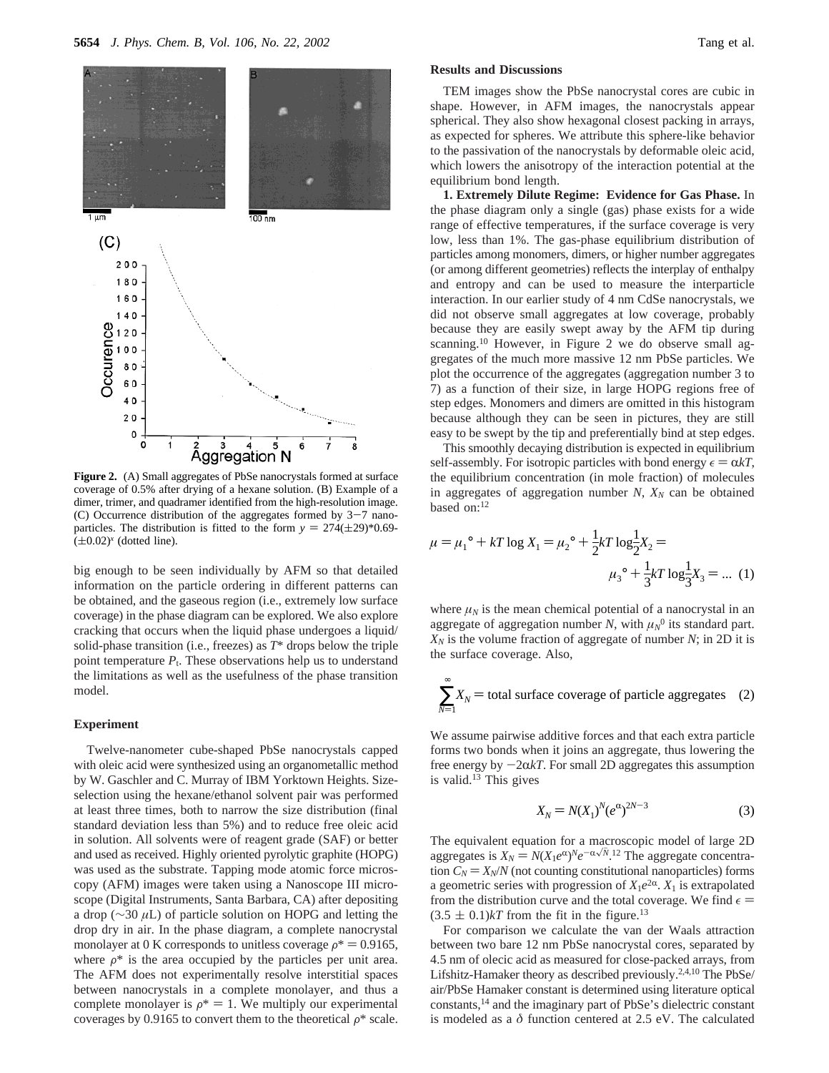

**Figure 2.** (A) Small aggregates of PbSe nanocrystals formed at surface coverage of 0.5% after drying of a hexane solution. (B) Example of a dimer, trimer, and quadramer identified from the high-resolution image. (C) Occurrence distribution of the aggregates formed by  $3-7$  nanoparticles. The distribution is fitted to the form  $y = 274(\pm 29)^*0.69$ - $(\pm 0.02)^x$  (dotted line). ( $\pm$ 0.02)<sup>x</sup> (dotted line).  $\mu = \mu_1^{\circ} + kT \log X_1 = \mu_2^{\circ} + \frac{1}{2}$ 

big enough to be seen individually by AFM so that detailed information on the particle ordering in different patterns can be obtained, and the gaseous region (i.e., extremely low surface coverage) in the phase diagram can be explored. We also explore cracking that occurs when the liquid phase undergoes a liquid/ solid-phase transition (i.e., freezes) as *T*\* drops below the triple point temperature  $P_t$ . These observations help us to understand the limitations as well as the usefulness of the phase transition model.

### **Experiment**

Twelve-nanometer cube-shaped PbSe nanocrystals capped with oleic acid were synthesized using an organometallic method by W. Gaschler and C. Murray of IBM Yorktown Heights. Sizeselection using the hexane/ethanol solvent pair was performed at least three times, both to narrow the size distribution (final standard deviation less than 5%) and to reduce free oleic acid in solution. All solvents were of reagent grade (SAF) or better and used as received. Highly oriented pyrolytic graphite (HOPG) was used as the substrate. Tapping mode atomic force microscopy (AFM) images were taken using a Nanoscope III microscope (Digital Instruments, Santa Barbara, CA) after depositing a drop (∼30 *µ*L) of particle solution on HOPG and letting the drop dry in air. In the phase diagram, a complete nanocrystal monolayer at 0 K corresponds to unitless coverage  $\rho^* = 0.9165$ , where  $\rho^*$  is the area occupied by the particles per unit area. The AFM does not experimentally resolve interstitial spaces between nanocrystals in a complete monolayer, and thus a complete monolayer is  $\rho^* = 1$ . We multiply our experimental coverages by 0.9165 to convert them to the theoretical  $\rho^*$  scale.

## **Results and Discussions**

TEM images show the PbSe nanocrystal cores are cubic in shape. However, in AFM images, the nanocrystals appear spherical. They also show hexagonal closest packing in arrays, as expected for spheres. We attribute this sphere-like behavior to the passivation of the nanocrystals by deformable oleic acid, which lowers the anisotropy of the interaction potential at the equilibrium bond length.

**1. Extremely Dilute Regime: Evidence for Gas Phase.** In the phase diagram only a single (gas) phase exists for a wide range of effective temperatures, if the surface coverage is very low, less than 1%. The gas-phase equilibrium distribution of particles among monomers, dimers, or higher number aggregates (or among different geometries) reflects the interplay of enthalpy and entropy and can be used to measure the interparticle interaction. In our earlier study of 4 nm CdSe nanocrystals, we did not observe small aggregates at low coverage, probably because they are easily swept away by the AFM tip during scanning.<sup>10</sup> However, in Figure 2 we do observe small aggregates of the much more massive 12 nm PbSe particles. We plot the occurrence of the aggregates (aggregation number 3 to 7) as a function of their size, in large HOPG regions free of step edges. Monomers and dimers are omitted in this histogram because although they can be seen in pictures, they are still easy to be swept by the tip and preferentially bind at step edges.

This smoothly decaying distribution is expected in equilibrium self-assembly. For isotropic particles with bond energy  $\epsilon = \alpha kT$ , the equilibrium concentration (in mole fraction) of molecules in aggregates of aggregation number  $N$ ,  $X_N$  can be obtained based on:12

$$
\mu = \mu_1^{\circ} + kT \log X_1 = \mu_2^{\circ} + \frac{1}{2} kT \log \frac{1}{2} X_2 =
$$
  

$$
\mu_3^{\circ} + \frac{1}{3} kT \log \frac{1}{3} X_3 = \dots (1)
$$

where  $\mu_N$  is the mean chemical potential of a nanocrystal in an aggregate of aggregation number *N*, with  $\mu_N^0$  its standard part.  $X_N$  is the volume fraction of aggregate of number *N*; in 2D it is the surface coverage. Also,

$$
\sum_{N=1}^{\infty} X_N
$$
 = total surface coverage of particle aggregates (2)

We assume pairwise additive forces and that each extra particle forms two bonds when it joins an aggregate, thus lowering the free energy by  $-2\alpha kT$ . For small 2D aggregates this assumption is valid.13 This gives

$$
X_N = N(X_1)^N (e^{\alpha})^{2N-3}
$$
 (3)

The equivalent equation for a macroscopic model of large 2D aggregates is  $X_N = N(X_1e^{\alpha})^N e^{-\alpha\sqrt{N}}$ .<sup>12</sup> The aggregate concentra-<br>tion  $C_N = X_N/N$  (not counting constitutional nanoparticles) forms tion  $C_N = X_N/N$  (not counting constitutional nanoparticles) forms a geometric series with progression of  $X_1e^{2\alpha}$ .  $X_1$  is extrapolated from the distribution curve and the total coverage. We find  $\epsilon$  =  $(3.5 \pm 0.1)kT$  from the fit in the figure.<sup>13</sup>

For comparison we calculate the van der Waals attraction between two bare 12 nm PbSe nanocrystal cores, separated by 4.5 nm of olecic acid as measured for close-packed arrays, from Lifshitz-Hamaker theory as described previously.2,4,10 The PbSe/ air/PbSe Hamaker constant is determined using literature optical constants,14 and the imaginary part of PbSe's dielectric constant is modeled as a *δ* function centered at 2.5 eV. The calculated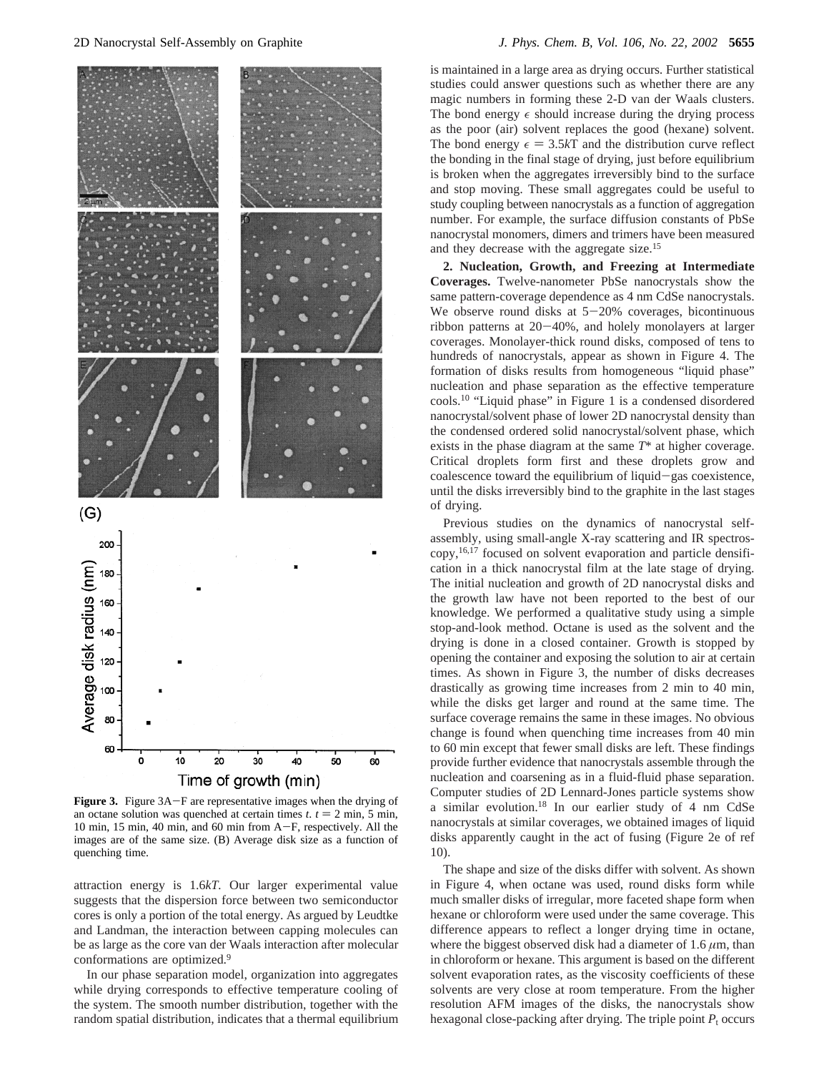

**Figure 3.** Figure 3A-F are representative images when the drying of an octane solution was quenched at certain times  $t, t = 2$  min, 5 min, 10 min, 15 min, 40 min, and 60 min from A-F, respectively. All the images are of the same size. (B) Average disk size as a function of quenching time.

attraction energy is 1.6*kT.* Our larger experimental value suggests that the dispersion force between two semiconductor cores is only a portion of the total energy. As argued by Leudtke and Landman, the interaction between capping molecules can be as large as the core van der Waals interaction after molecular conformations are optimized.9

In our phase separation model, organization into aggregates while drying corresponds to effective temperature cooling of the system. The smooth number distribution, together with the random spatial distribution, indicates that a thermal equilibrium is maintained in a large area as drying occurs. Further statistical studies could answer questions such as whether there are any magic numbers in forming these 2-D van der Waals clusters. The bond energy  $\epsilon$  should increase during the drying process as the poor (air) solvent replaces the good (hexane) solvent. The bond energy  $\epsilon = 3.5kT$  and the distribution curve reflect the bonding in the final stage of drying, just before equilibrium is broken when the aggregates irreversibly bind to the surface and stop moving. These small aggregates could be useful to study coupling between nanocrystals as a function of aggregation number. For example, the surface diffusion constants of PbSe nanocrystal monomers, dimers and trimers have been measured and they decrease with the aggregate size.15

**2. Nucleation, Growth, and Freezing at Intermediate Coverages.** Twelve-nanometer PbSe nanocrystals show the same pattern-coverage dependence as 4 nm CdSe nanocrystals. We observe round disks at  $5-20\%$  coverages, bicontinuous ribbon patterns at 20-40%, and holely monolayers at larger coverages. Monolayer-thick round disks, composed of tens to hundreds of nanocrystals, appear as shown in Figure 4. The formation of disks results from homogeneous "liquid phase" nucleation and phase separation as the effective temperature cools.10 "Liquid phase" in Figure 1 is a condensed disordered nanocrystal/solvent phase of lower 2D nanocrystal density than the condensed ordered solid nanocrystal/solvent phase, which exists in the phase diagram at the same *T*\* at higher coverage. Critical droplets form first and these droplets grow and coalescence toward the equilibrium of liquid-gas coexistence, until the disks irreversibly bind to the graphite in the last stages of drying.

Previous studies on the dynamics of nanocrystal selfassembly, using small-angle X-ray scattering and IR spectroscopy,16,17 focused on solvent evaporation and particle densification in a thick nanocrystal film at the late stage of drying. The initial nucleation and growth of 2D nanocrystal disks and the growth law have not been reported to the best of our knowledge. We performed a qualitative study using a simple stop-and-look method. Octane is used as the solvent and the drying is done in a closed container. Growth is stopped by opening the container and exposing the solution to air at certain times. As shown in Figure 3, the number of disks decreases drastically as growing time increases from 2 min to 40 min, while the disks get larger and round at the same time. The surface coverage remains the same in these images. No obvious change is found when quenching time increases from 40 min to 60 min except that fewer small disks are left. These findings provide further evidence that nanocrystals assemble through the nucleation and coarsening as in a fluid-fluid phase separation. Computer studies of 2D Lennard-Jones particle systems show a similar evolution.18 In our earlier study of 4 nm CdSe nanocrystals at similar coverages, we obtained images of liquid disks apparently caught in the act of fusing (Figure 2e of ref 10).

The shape and size of the disks differ with solvent. As shown in Figure 4, when octane was used, round disks form while much smaller disks of irregular, more faceted shape form when hexane or chloroform were used under the same coverage. This difference appears to reflect a longer drying time in octane, where the biggest observed disk had a diameter of  $1.6 \mu m$ , than in chloroform or hexane. This argument is based on the different solvent evaporation rates, as the viscosity coefficients of these solvents are very close at room temperature. From the higher resolution AFM images of the disks, the nanocrystals show hexagonal close-packing after drying. The triple point  $P_t$  occurs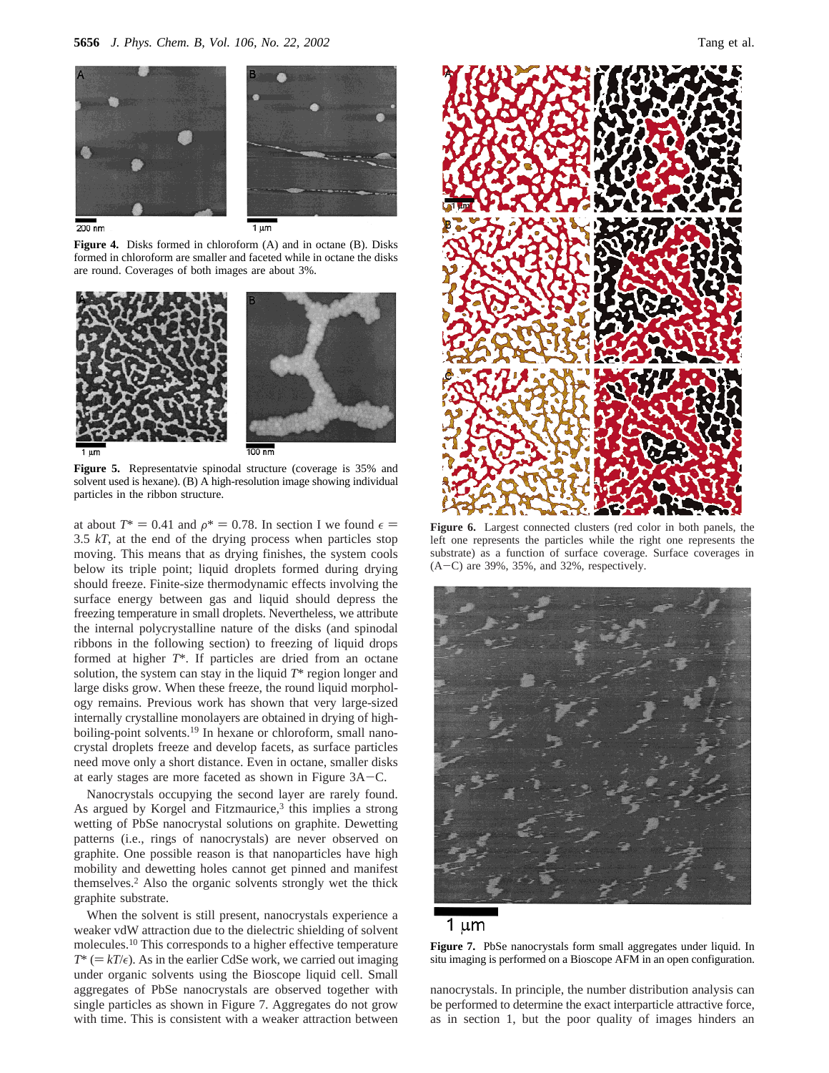



 $200 \text{ nm}$ 

**Figure 4.** Disks formed in chloroform (A) and in octane (B). Disks formed in chloroform are smaller and faceted while in octane the disks are round. Coverages of both images are about 3%.



**Figure 5.** Representatvie spinodal structure (coverage is 35% and solvent used is hexane). (B) A high-resolution image showing individual particles in the ribbon structure.

at about  $T^* = 0.41$  and  $\rho^* = 0.78$ . In section I we found  $\epsilon =$ 3.5 *kT*, at the end of the drying process when particles stop moving. This means that as drying finishes, the system cools below its triple point; liquid droplets formed during drying should freeze. Finite-size thermodynamic effects involving the surface energy between gas and liquid should depress the freezing temperature in small droplets. Nevertheless, we attribute the internal polycrystalline nature of the disks (and spinodal ribbons in the following section) to freezing of liquid drops formed at higher *T*\*. If particles are dried from an octane solution, the system can stay in the liquid *T*\* region longer and large disks grow. When these freeze, the round liquid morphology remains. Previous work has shown that very large-sized internally crystalline monolayers are obtained in drying of highboiling-point solvents.19 In hexane or chloroform, small nanocrystal droplets freeze and develop facets, as surface particles need move only a short distance. Even in octane, smaller disks at early stages are more faceted as shown in Figure 3A-C.

Nanocrystals occupying the second layer are rarely found. As argued by Korgel and Fitzmaurice, $3$  this implies a strong wetting of PbSe nanocrystal solutions on graphite. Dewetting patterns (i.e., rings of nanocrystals) are never observed on graphite. One possible reason is that nanoparticles have high mobility and dewetting holes cannot get pinned and manifest themselves.2 Also the organic solvents strongly wet the thick graphite substrate.

When the solvent is still present, nanocrystals experience a weaker vdW attraction due to the dielectric shielding of solvent molecules.10 This corresponds to a higher effective temperature  $T^* (= kT/\epsilon)$ . As in the earlier CdSe work, we carried out imaging under organic solvents using the Bioscope liquid cell. Small aggregates of PbSe nanocrystals are observed together with single particles as shown in Figure 7. Aggregates do not grow with time. This is consistent with a weaker attraction between



**Figure 6.** Largest connected clusters (red color in both panels, the left one represents the particles while the right one represents the substrate) as a function of surface coverage. Surface coverages in  $(A-C)$  are 39%, 35%, and 32%, respectively.



# 1 µm

**Figure 7.** PbSe nanocrystals form small aggregates under liquid. In situ imaging is performed on a Bioscope AFM in an open configuration.

nanocrystals. In principle, the number distribution analysis can be performed to determine the exact interparticle attractive force, as in section 1, but the poor quality of images hinders an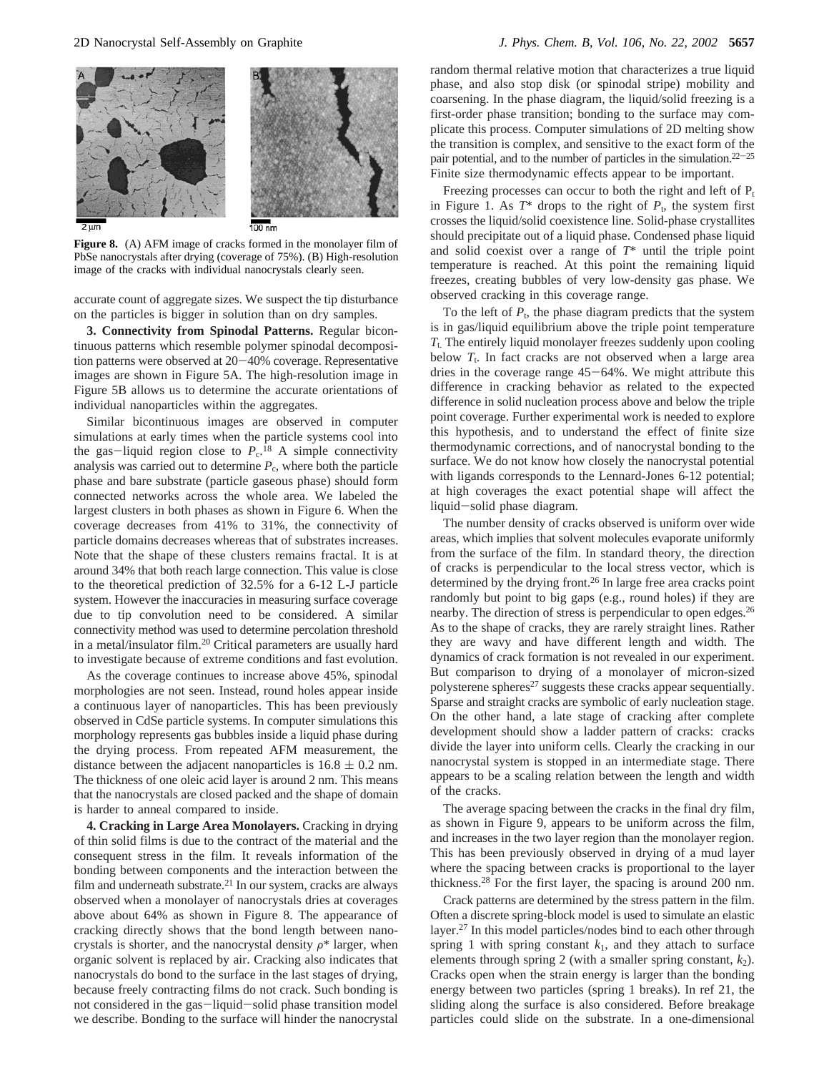

**Figure 8.** (A) AFM image of cracks formed in the monolayer film of PbSe nanocrystals after drying (coverage of 75%). (B) High-resolution image of the cracks with individual nanocrystals clearly seen.

accurate count of aggregate sizes. We suspect the tip disturbance on the particles is bigger in solution than on dry samples.

**3. Connectivity from Spinodal Patterns.** Regular bicontinuous patterns which resemble polymer spinodal decomposition patterns were observed at 20-40% coverage. Representative images are shown in Figure 5A. The high-resolution image in Figure 5B allows us to determine the accurate orientations of individual nanoparticles within the aggregates.

Similar bicontinuous images are observed in computer simulations at early times when the particle systems cool into the gas-liquid region close to  $P_c$ <sup>18</sup> A simple connectivity<br>analysis was carried out to determine P, where both the particle analysis was carried out to determine  $P_c$ , where both the particle phase and bare substrate (particle gaseous phase) should form connected networks across the whole area. We labeled the largest clusters in both phases as shown in Figure 6. When the coverage decreases from 41% to 31%, the connectivity of particle domains decreases whereas that of substrates increases. Note that the shape of these clusters remains fractal. It is at around 34% that both reach large connection. This value is close to the theoretical prediction of 32.5% for a 6-12 L-J particle system. However the inaccuracies in measuring surface coverage due to tip convolution need to be considered. A similar connectivity method was used to determine percolation threshold in a metal/insulator film.20 Critical parameters are usually hard to investigate because of extreme conditions and fast evolution.

As the coverage continues to increase above 45%, spinodal morphologies are not seen. Instead, round holes appear inside a continuous layer of nanoparticles. This has been previously observed in CdSe particle systems. In computer simulations this morphology represents gas bubbles inside a liquid phase during the drying process. From repeated AFM measurement, the distance between the adjacent nanoparticles is  $16.8 \pm 0.2$  nm. The thickness of one oleic acid layer is around 2 nm. This means that the nanocrystals are closed packed and the shape of domain is harder to anneal compared to inside.

**4. Cracking in Large Area Monolayers.** Cracking in drying of thin solid films is due to the contract of the material and the consequent stress in the film. It reveals information of the bonding between components and the interaction between the film and underneath substrate.<sup>21</sup> In our system, cracks are always observed when a monolayer of nanocrystals dries at coverages above about 64% as shown in Figure 8. The appearance of cracking directly shows that the bond length between nanocrystals is shorter, and the nanocrystal density  $\rho^*$  larger, when organic solvent is replaced by air. Cracking also indicates that nanocrystals do bond to the surface in the last stages of drying, because freely contracting films do not crack. Such bonding is not considered in the gas-liquid-solid phase transition model we describe. Bonding to the surface will hinder the nanocrystal

random thermal relative motion that characterizes a true liquid phase, and also stop disk (or spinodal stripe) mobility and coarsening. In the phase diagram, the liquid/solid freezing is a first-order phase transition; bonding to the surface may complicate this process. Computer simulations of 2D melting show the transition is complex, and sensitive to the exact form of the pair potential, and to the number of particles in the simulation. $22-25$ Finite size thermodynamic effects appear to be important.

Freezing processes can occur to both the right and left of  $P_t$ in Figure 1. As  $T^*$  drops to the right of  $P_t$ , the system first crosses the liquid/solid coexistence line. Solid-phase crystallites should precipitate out of a liquid phase. Condensed phase liquid and solid coexist over a range of *T*\* until the triple point temperature is reached. At this point the remaining liquid freezes, creating bubbles of very low-density gas phase. We observed cracking in this coverage range.

To the left of  $P_t$ , the phase diagram predicts that the system is in gas/liquid equilibrium above the triple point temperature *T*t. The entirely liquid monolayer freezes suddenly upon cooling below  $T_t$ . In fact cracks are not observed when a large area dries in the coverage range 45-64%. We might attribute this difference in cracking behavior as related to the expected difference in solid nucleation process above and below the triple point coverage. Further experimental work is needed to explore this hypothesis, and to understand the effect of finite size thermodynamic corrections, and of nanocrystal bonding to the surface. We do not know how closely the nanocrystal potential with ligands corresponds to the Lennard-Jones 6-12 potential; at high coverages the exact potential shape will affect the liquid-solid phase diagram.

The number density of cracks observed is uniform over wide areas, which implies that solvent molecules evaporate uniformly from the surface of the film. In standard theory, the direction of cracks is perpendicular to the local stress vector, which is determined by the drying front.<sup>26</sup> In large free area cracks point randomly but point to big gaps (e.g., round holes) if they are nearby. The direction of stress is perpendicular to open edges.26 As to the shape of cracks, they are rarely straight lines. Rather they are wavy and have different length and width. The dynamics of crack formation is not revealed in our experiment. But comparison to drying of a monolayer of micron-sized polysterene spheres<sup>27</sup> suggests these cracks appear sequentially. Sparse and straight cracks are symbolic of early nucleation stage. On the other hand, a late stage of cracking after complete development should show a ladder pattern of cracks: cracks divide the layer into uniform cells. Clearly the cracking in our nanocrystal system is stopped in an intermediate stage. There appears to be a scaling relation between the length and width of the cracks.

The average spacing between the cracks in the final dry film, as shown in Figure 9, appears to be uniform across the film, and increases in the two layer region than the monolayer region. This has been previously observed in drying of a mud layer where the spacing between cracks is proportional to the layer thickness.28 For the first layer, the spacing is around 200 nm.

Crack patterns are determined by the stress pattern in the film. Often a discrete spring-block model is used to simulate an elastic layer.27 In this model particles/nodes bind to each other through spring 1 with spring constant  $k_1$ , and they attach to surface elements through spring 2 (with a smaller spring constant,  $k_2$ ). Cracks open when the strain energy is larger than the bonding energy between two particles (spring 1 breaks). In ref 21, the sliding along the surface is also considered. Before breakage particles could slide on the substrate. In a one-dimensional